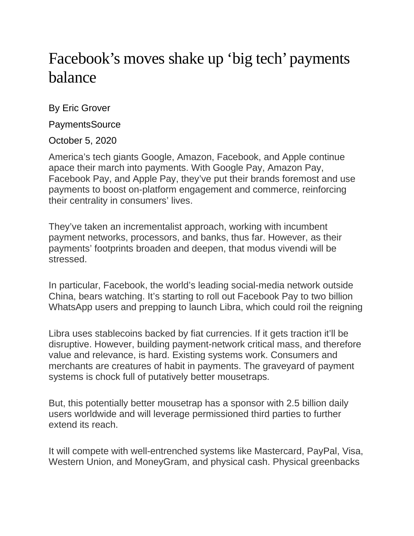## Facebook's moves shake up 'big tech' payments balance

By Eric Grover

**PaymentsSource** 

October 5, 2020

America's tech giants Google, Amazon, Facebook, and Apple continue apace their march into payments. With Google Pay, Amazon Pay, Facebook Pay, and Apple Pay, they've put their brands foremost and use payments to boost on-platform engagement and commerce, reinforcing their centrality in consumers' lives.

They've taken an incrementalist approach, working with incumbent payment networks, processors, and banks, thus far. However, as their payments' footprints broaden and deepen, that modus vivendi will be stressed.

In particular, Facebook, the world's leading social-media network outside China, bears watching. It's starting to roll out Facebook Pay to two billion WhatsApp users and prepping to launch Libra, which could roil the reigning

Libra uses stablecoins backed by fiat currencies. If it gets traction it'll be disruptive. However, building payment-network critical mass, and therefore value and relevance, is hard. Existing systems work. Consumers and merchants are creatures of habit in payments. The graveyard of payment systems is chock full of putatively better mousetraps.

But, this potentially better mousetrap has a sponsor with 2.5 billion daily users worldwide and will leverage permissioned third parties to further extend its reach.

It will compete with well-entrenched systems like Mastercard, PayPal, Visa, Western Union, and MoneyGram, and physical cash. Physical greenbacks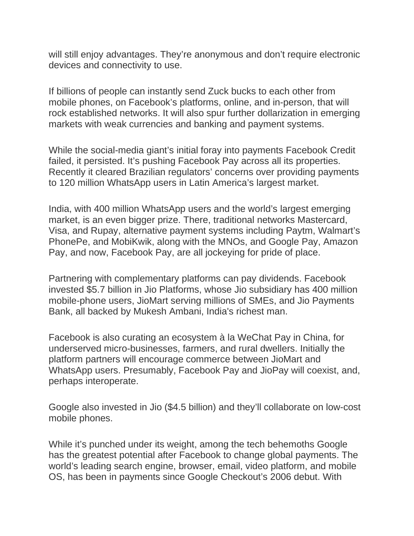will still enjoy advantages. They're anonymous and don't require electronic devices and connectivity to use.

If billions of people can instantly send Zuck bucks to each other from mobile phones, on Facebook's platforms, online, and in-person, that will rock established networks. It will also spur further dollarization in emerging markets with weak currencies and banking and payment systems.

While the social-media giant's initial foray into payments Facebook Credit failed, it persisted. It's pushing Facebook Pay across all its properties. Recently it cleared Brazilian regulators' concerns over providing payments to 120 million WhatsApp users in Latin America's largest market.

India, with 400 million WhatsApp users and the world's largest emerging market, is an even bigger prize. There, traditional networks Mastercard, Visa, and Rupay, alternative payment systems including Paytm, Walmart's PhonePe, and MobiKwik, along with the MNOs, and Google Pay, Amazon Pay, and now, Facebook Pay, are all jockeying for pride of place.

Partnering with complementary platforms can pay dividends. Facebook invested \$5.7 billion in Jio Platforms, whose Jio subsidiary has 400 million mobile-phone users, JioMart serving millions of SMEs, and Jio Payments Bank, all backed by Mukesh Ambani, India's richest man.

Facebook is also curating an ecosystem à la WeChat Pay in China, for underserved micro-businesses, farmers, and rural dwellers. Initially the platform partners will encourage commerce between JioMart and WhatsApp users. Presumably, Facebook Pay and JioPay will coexist, and, perhaps interoperate.

Google also invested in Jio (\$4.5 billion) and they'll collaborate on low-cost mobile phones.

While it's punched under its weight, among the tech behemoths Google has the greatest potential after Facebook to change global payments. The world's leading search engine, browser, email, video platform, and mobile OS, has been in payments since Google Checkout's 2006 debut. With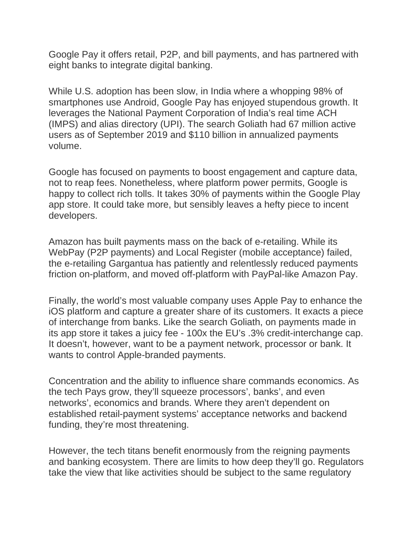Google Pay it offers retail, P2P, and bill payments, and has partnered with eight banks to integrate digital banking.

While U.S. adoption has been slow, in India where a whopping 98% of smartphones use Android, Google Pay has enjoyed stupendous growth. It leverages the National Payment Corporation of India's real time ACH (IMPS) and alias directory (UPI). The search Goliath had 67 million active users as of September 2019 and \$110 billion in annualized payments volume.

Google has focused on payments to boost engagement and capture data, not to reap fees. Nonetheless, where platform power permits, Google is happy to collect rich tolls. It takes 30% of payments within the Google Play app store. It could take more, but sensibly leaves a hefty piece to incent developers.

Amazon has built payments mass on the back of e-retailing. While its WebPay (P2P payments) and Local Register (mobile acceptance) failed, the e-retailing Gargantua has patiently and relentlessly reduced payments friction on-platform, and moved off-platform with PayPal-like Amazon Pay.

Finally, the world's most valuable company uses Apple Pay to enhance the iOS platform and capture a greater share of its customers. It exacts a piece of interchange from banks. Like the search Goliath, on payments made in its app store it takes a juicy fee - 100x the EU's .3% credit-interchange cap. It doesn't, however, want to be a payment network, processor or bank. It wants to control Apple-branded payments.

Concentration and the ability to influence share commands economics. As the tech Pays grow, they'll squeeze processors', banks', and even networks', economics and brands. Where they aren't dependent on established retail-payment systems' acceptance networks and backend funding, they're most threatening.

However, the tech titans benefit enormously from the reigning payments and banking ecosystem. There are limits to how deep they'll go. Regulators take the view that like activities should be subject to the same regulatory